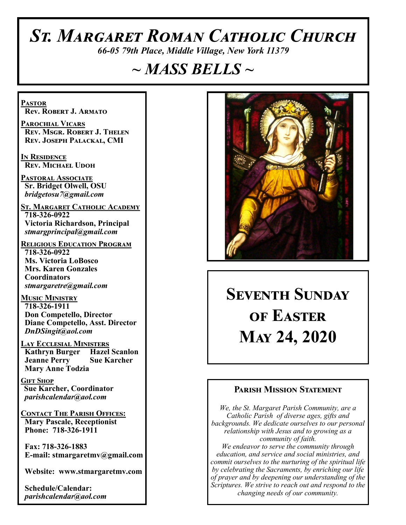# *St. Margaret Roman Catholic Church*

*66-05 79th Place, Middle Village, New York 11379*

# *~ MASS BELLS ~*

**Pastor Rev. Robert J. Armato**

**Parochial Vicars Rev. Msgr. Robert J. Thelen Rev. Joseph Palackal, CMI**

**In Residence Rev. Michael Udoh**

**Pastoral Associate Sr. Bridget Olwell, OSU**  *bridgetosu7@gmail.com*

**St. Margaret Catholic Academy 718-326-0922 Victoria Richardson, Principal**  *stmargprincipal@gmail.com*

**Religious Education Program 718-326-0922 Ms. Victoria LoBosco Mrs. Karen Gonzales Coordinators** *stmargaretre@gmail.com*

**Music Ministry 718-326-1911 Don Competello, Director Diane Competello, Asst. Director** *DnDSingit@aol.com*

**Lay Ecclesial Ministers Kathryn Burger Hazel Scanlon Jeanne Perry Sue Karcher Mary Anne Todzia**

**Gift Shop Sue Karcher, Coordinator** *parishcalendar@aol.com*

**Contact The Parish Offices: Mary Pascale, Receptionist Phone: 718-326-1911** 

 **Fax: 718-326-1883 E-mail: stmargaretmv@gmail.com**

 **Website: www.stmargaretmv.com**

 **Schedule/Calendar:** *parishcalendar@aol.com* 



**Seventh Sunday of Easter May 24, 2020** 

### **Parish Mission Statement**

*We, the St. Margaret Parish Community, are a Catholic Parish of diverse ages, gifts and backgrounds. We dedicate ourselves to our personal relationship with Jesus and to growing as a community of faith. We endeavor to serve the community through education, and service and social ministries, and commit ourselves to the nurturing of the spiritual life by celebrating the Sacraments, by enriching our life of prayer and by deepening our understanding of the Scriptures. We strive to reach out and respond to the changing needs of our community.*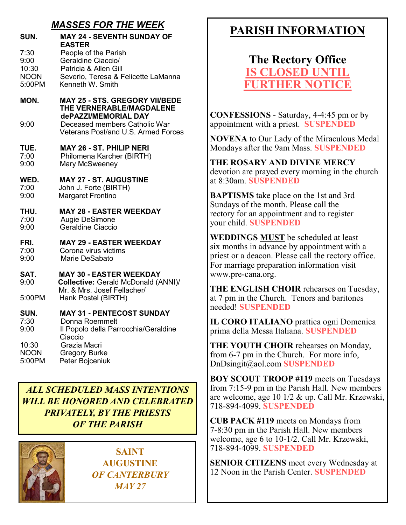## *MASSES FOR THE WEEK*

| SUN.                  | <b>MAY 24 - SEVENTH SUNDAY OF</b><br><b>EASTER</b>                                        |
|-----------------------|-------------------------------------------------------------------------------------------|
| 7:30<br>9:00          | People of the Parish<br>Geraldine Ciaccio/                                                |
| 10:30                 | Patricia & Allen Gill                                                                     |
| <b>NOON</b>           | Severio, Teresa & Felicette LaManna                                                       |
| 5:00PM                | Kenneth W. Smith                                                                          |
| MON.                  | <b>MAY 25 - STS. GREGORY VII/BEDE</b><br>THE VERNERABLE/MAGDALENE<br>dePAZZI/MEMORIAL DAY |
| 9:00                  | Deceased members Catholic War<br>Veterans Post/and U.S. Armed Forces                      |
| TUE.<br>7:00          | <b>MAY 26 - ST. PHILIP NERI</b><br>Philomena Karcher (BIRTH)                              |
| 9:00                  | Mary McSweeney                                                                            |
| WED.                  | <b>MAY 27 - ST. AUGUSTINE</b>                                                             |
| 7:00<br>9:00          | John J. Forte (BIRTH)<br><b>Margaret Frontino</b>                                         |
|                       |                                                                                           |
| THU.<br>7:00          | <b>MAY 28 - EASTER WEEKDAY</b><br>Augie DeSimone                                          |
| 9:00                  | Geraldine Ciaccio                                                                         |
| FRI.                  | <b>MAY 29 - EASTER WEEKDAY</b>                                                            |
| 7:00                  | Corona virus victims                                                                      |
| 9:00                  | Marie DeSabato                                                                            |
| SAT.<br>9:00          | <b>MAY 30 - EASTER WEEKDAY</b><br><b>Collective: Gerald McDonald (ANNI)/</b>              |
| 5:00PM                | Mr. & Mrs. Josef Fellacher/<br>Hank Postel (BIRTH)                                        |
| SUN.                  | <b>MAY 31 - PENTECOST SUNDAY</b>                                                          |
| 7:30<br>9:00          | Donna Roemmelt                                                                            |
|                       | Il Popolo della Parrocchia/Geraldine<br>Ciaccio                                           |
| 10:30                 | Grazia Macri                                                                              |
| <b>NOON</b><br>5:00PM | <b>Gregory Burke</b><br>Peter Bojceniuk                                                   |
|                       |                                                                                           |

*ALL SCHEDULED MASS INTENTIONS WILL BE HONORED AND CELEBRATED PRIVATELY, BY THE PRIESTS OF THE PARISH*



**SAINT AUGUSTINE** *OF CANTERBURY MAY 27* 

# **PARISH INFORMATION**

**The Rectory Office IS CLOSED UNT FURTHER NOTICE**

**CONFESSIONS** - Saturday, 4-4:45 pm or by appointment with a priest. **SUSPENDED**

**NOVENA** to Our Lady of the Miraculous Medal Mondays after the 9am Mass. **SUSPENDED**

**THE ROSARY AND DIVINE MERCY** devotion are prayed every morning in the church at 8:30am. **SUSPENDED**

**BAPTISMS** take place on the 1st and 3rd Sundays of the month. Please call the rectory for an appointment and to register your child. **SUSPENDED**

**WEDDINGS MUST** be scheduled at least six months in advance by appointment with a priest or a deacon. Please call the rectory office. For marriage preparation information visit www.pre-cana.org.

**THE ENGLISH CHOIR** rehearses on Tuesday, at 7 pm in the Church. Tenors and baritones needed! **SUSPENDED**

**IL CORO ITALIANO** prattica ogni Domenica prima della Messa Italiana. **SUSPENDED**

**THE YOUTH CHOIR** rehearses on Monday, from 6-7 pm in the Church. For more info, DnDsingit@aol.com **SUSPENDED**

**BOY SCOUT TROOP #119** meets on Tuesdays from 7:15-9 pm in the Parish Hall. New members are welcome, age 10 1/2 & up. Call Mr. Krzewski, 718-894-4099. **SUSPENDED**

**CUB PACK #119** meets on Mondays from 7-8:30 pm in the Parish Hall. New members welcome, age 6 to 10-1/2. Call Mr. Krzewski, 718-894-4099. **SUSPENDED**

**SENIOR CITIZENS** meet every Wednesday at 12 Noon in the Parish Center. **SUSPENDED**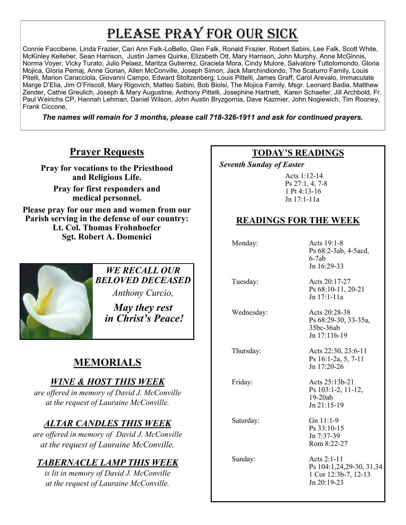# PLEASE PRAY FOR OUR SICK

Connie Faccibene, Linda Frazier, Cari Ann Falk-LoBello, Glen Falk, Ronald Frazier, Robert Sabini, Lee Falk, Scott White, McKinley Kelleher, Sean Harrison, Justin James Quirke, Elizabeth Ott, Mary Harrison, John Murphy, Anne McGinnis, Norma Voyer, Vicky Turato, Julio Pelaez, Maritza Gutierrez, Graciela Mora, Cindy Mulore, Salvatore Tuttolomondo, Gloria Mojica, Gloria Pemaj, Anne Gorian, Allen McConville, Joseph Simon, Jack Marchindiondo, The Scaturro Family, Louis Pitelli, Marion Caracciola, Giovanni Campo, Edward Stoltzenberg, Louis Pittelli, James Graff, Carol Arevalo, Immaculate Marge D'Elia, Jim O'Friscoll, Mary Rigovich, Matteo Sabini, Bob Biolsi, The Mojica Family, Msgr. Leonard Badia, Matthew Zender, Cathie Greulich, Joseph & Mary Augustine, Anthony Pittelli, Josephine Hartnett, Karen Schaefer, Jill Archbold, Fr. Paul Weirichs CP, Hannah Lehman, Daniel Wilson, John Austin Bryzgornia, Dave Kazmier, John Nogiewich, Tim Rooney, Frank Ciccone,

*The names will remain for 3 months, please call 718-326-1911 and ask for continued prayers.*

## **Prayer Requests**

**Pray for vocations to the Priesthood and Religious Life.** 

**Pray for first responders and medical personnel.**

**Please pray for our men and women from our Parish serving in the defense of our country: Lt. Col. Thomas Frohnhoefer Sgt. Robert A. Domenici** 

## *WE RECALL OUR BELOVED DECEASED*

*Anthony Curcio,*

*May they rest in Christ's Peace!*

# **MEMORIALS**

## *WINE & HOST THIS WEEK*

*are offered in memory of David J. McConville at the request of Lauraine McConville.*

## *ALTAR CANDLES THIS WEEK*

*are offered in memory of David J. McConville at the request of Lauraine McConville.*

## *TABERNACLE LAMP THIS WEEK*

*is lit in memory of David J. McConville at the request of Lauraine McConville.* 

## **TODAY'S READINGS**

 *Seventh Sunday of Easter* 

Acts 1:12-14 Ps 27:1, 4, 7-8 1 Pt 4:13-16 Jn 17:1-11a

## **READINGS FOR THE WEEK**

Monday: Acts 19:1-8

 Tuesday: Acts 20:17-27 Ps 68:10-11, 20-21 Jn 17:1-11a

Ps 68:29-30, 33-35a,

Ps 16:1-2a, 5, 7-11 Jn 17:20-26

35bc-36ab Jn 17:11b-19

Ps 68:2-3ab, 4-5acd,

6-7ab Jn 16:29-33

Wednesday: Acts 20:28-38

Thursday: Acts 22:30, 23:6-11

Friday: Acts 25:13b-21

Ps 103:1-2, 11-12, 19-20ab Jn 21:15-19

Saturday: Gn 11:1-9

Ps 33:10-15 Jn 7:37-39 Rom 8:22-27

 Sunday: Acts 2:1-11 Ps 104:1,24,29-30, 31,34 1 Cor 12:3b-7, 12-13 Jn 20:19-23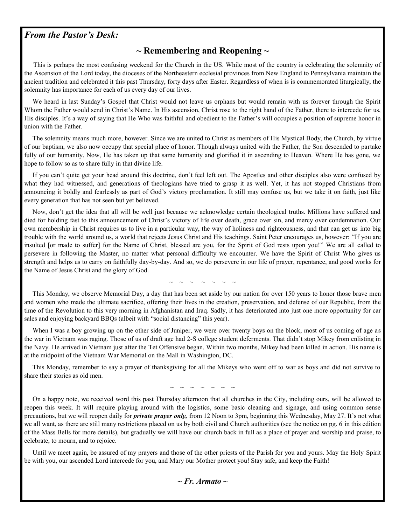#### *From the Pastor's Desk:*

#### **~ Remembering and Reopening ~**

 This is perhaps the most confusing weekend for the Church in the US. While most of the country is celebrating the solemnity of the Ascension of the Lord today, the dioceses of the Northeastern ecclesial provinces from New England to Pennsylvania maintain the ancient tradition and celebrated it this past Thursday, forty days after Easter. Regardless of when is is commemorated liturgically, the solemnity has importance for each of us every day of our lives.

 We heard in last Sunday's Gospel that Christ would not leave us orphans but would remain with us forever through the Spirit Whom the Father would send in Christ's Name. In His ascension, Christ rose to the right hand of the Father, there to intercede for us, His disciples. It's a way of saying that He Who was faithful and obedient to the Father's will occupies a position of supreme honor in union with the Father.

 The solemnity means much more, however. Since we are united to Christ as members of His Mystical Body, the Church, by virtue of our baptism, we also now occupy that special place of honor. Though always united with the Father, the Son descended to partake fully of our humanity. Now, He has taken up that same humanity and glorified it in ascending to Heaven. Where He has gone, we hope to follow so as to share fully in that divine life.

 If you can't quite get your head around this doctrine, don't feel left out. The Apostles and other disciples also were confused by what they had witnessed, and generations of theologians have tried to grasp it as well. Yet, it has not stopped Christians from announcing it boldly and fearlessly as part of God's victory proclamation. It still may confuse us, but we take it on faith, just like every generation that has not seen but yet believed.

 Now, don't get the idea that all will be well just because we acknowledge certain theological truths. Millions have suffered and died for holding fast to this announcement of Christ's victory of life over death, grace over sin, and mercy over condemnation. Our own membership in Christ requires us to live in a particular way, the way of holiness and righteousness, and that can get us into big trouble with the world around us, a world that rejects Jesus Christ and His teachings. Saint Peter encourages us, however: "If you are insulted [or made to suffer] for the Name of Christ, blessed are you, for the Spirit of God rests upon you!" We are all called to persevere in following the Master, no matter what personal difficulty we encounter. We have the Spirit of Christ Who gives us strength and helps us to carry on faithfully day-by-day. And so, we do persevere in our life of prayer, repentance, and good works for the Name of Jesus Christ and the glory of God.

 $\sim$   $\sim$   $\sim$   $\sim$   $\sim$   $\sim$ 

 This Monday, we observe Memorial Day, a day that has been set aside by our nation for over 150 years to honor those brave men and women who made the ultimate sacrifice, offering their lives in the creation, preservation, and defense of our Republic, from the time of the Revolution to this very morning in Afghanistan and Iraq. Sadly, it has deteriorated into just one more opportunity for car sales and enjoying backyard BBQs (albeit with "social distancing" this year).

 When I was a boy growing up on the other side of Juniper, we were over twenty boys on the block, most of us coming of age as the war in Vietnam was raging. Those of us of draft age had 2-S college student deferments. That didn't stop Mikey from enlisting in the Navy. He arrived in Vietnam just after the Tet Offensive began. Within two months, Mikey had been killed in action. His name is at the midpoint of the Vietnam War Memorial on the Mall in Washington, DC.

 This Monday, remember to say a prayer of thanksgiving for all the Mikeys who went off to war as boys and did not survive to share their stories as old men.

 $\sim$   $\sim$   $\sim$   $\sim$   $\sim$   $\sim$ 

 On a happy note, we received word this past Thursday afternoon that all churches in the City, including ours, will be allowed to reopen this week. It will require playing around with the logistics, some basic cleaning and signage, and using common sense precautions, but we will reopen daily for *private prayer only,* from 12 Noon to 3pm, beginning this Wednesday, May 27. It's not what we all want, as there are still many restrictions placed on us by both civil and Church authorities (see the notice on pg. 6 in this edition of the Mass Bells for more details), but gradually we will have our church back in full as a place of prayer and worship and praise, to celebrate, to mourn, and to rejoice.

 Until we meet again, be assured of my prayers and those of the other priests of the Parish for you and yours. May the Holy Spirit be with you, our ascended Lord intercede for you, and Mary our Mother protect you! Stay safe, and keep the Faith!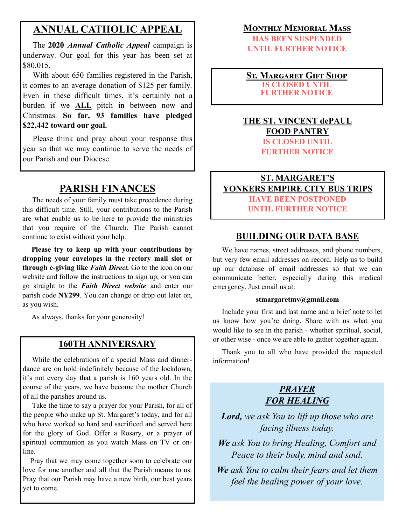## **ANNUAL CATHOLIC APPEAL**

 The **2020** *Annual Catholic Appeal* campaign is underway. Our goal for this year has been set at \$80,015.

 With about 650 families registered in the Parish, it comes to an average donation of \$125 per family. Even in these difficult times, it's certainly not a burden if we **ALL** pitch in between now and Christmas. **So far, 93 families have pledged \$22,442 toward our goal.**

 Please think and pray about your response this year so that we may continue to serve the needs of our Parish and our Diocese.

## **PARISH FINANCES**

 The needs of your family must take precedence during this difficult time. Still, your contributions to the Parish are what enable us to be here to provide the ministries that you require of the Church. The Parish cannot continue to exist without your help.

 **Please try to keep up with your contributions by dropping your envelopes in the rectory mail slot or through e-giving like** *Faith Direct.* Go to the icon on our website and follow the instructions to sign up; or you can go straight to the *Faith Direct website* and enter our parish code **NY299**. You can change or drop out later on, as you wish.

As always, thanks for your generosity!

#### **160TH ANNIVERSARY**

 While the celebrations of a special Mass and dinnerdance are on hold indefinitely because of the lockdown, it's not every day that a parish is 160 years old. In the course of the years, we have become the mother Church of all the parishes around us.

 Take the time to say a prayer for your Parish, for all of the people who make up St. Margaret's today, and for all who have worked so hard and sacrificed and served here for the glory of God. Offer a Rosary, or a prayer of spiritual communion as you watch Mass on TV or online.

 Pray that we may come together soon to celebrate our love for one another and all that the Parish means to us. Pray that our Parish may have a new birth, our best years yet to come.

#### **Monthly Memorial Mass**

**HAS BEEN SUSPENDED UNTIL FURTHER NOTICE**

**St. Margaret Gift Shop IS CLOSED UNTIL FURTHER NOTICE**

#### **THE ST. VINCENT dePAUL FOOD PANTRY IS CLOSED UNTIL FURTHER NOTICE**

#### **ST. MARGARET'S YONKERS EMPIRE CITY BUS TRIPS HAVE BEEN POSTPONED UNTIL FURTHER NOTICE**

#### **BUILDING OUR DATA BASE**

 We have names, street addresses, and phone numbers, but very few email addresses on record. Help us to build up our database of email addresses so that we can communicate better, especially during this medical emergency. Just email us at:

#### **stmargaretmv@gmail.com**

 Include your first and last name and a brief note to let us know how you're doing. Share with us what you would like to see in the parish - whether spiritual, social, or other wise - once we are able to gather together again.

 Thank you to all who have provided the requested information!

#### *PRAYER FOR HEALING*

*Lord, we ask You to lift up those who are facing illness today.*

*We ask You to bring Healing, Comfort and Peace to their body, mind and soul.*

*We ask You to calm their fears and let them feel the healing power of your love.*